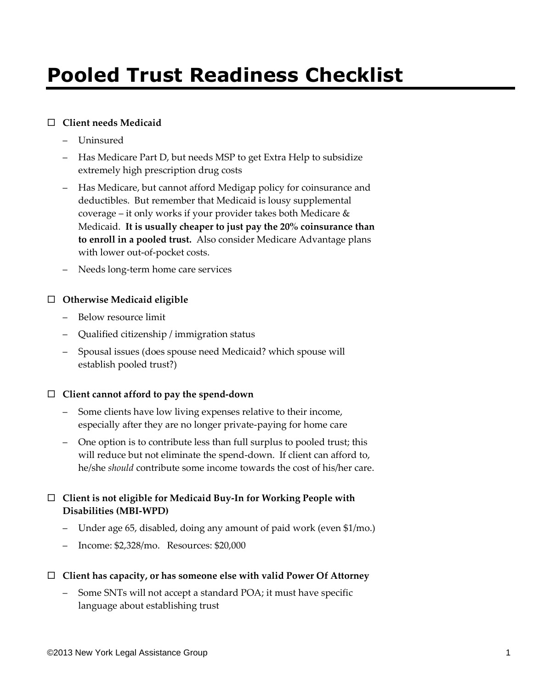# **Pooled Trust Readiness Checklist**

## **Client needs Medicaid**

- Uninsured
- Has Medicare Part D, but needs MSP to get Extra Help to subsidize extremely high prescription drug costs
- Has Medicare, but cannot afford Medigap policy for coinsurance and deductibles. But remember that Medicaid is lousy supplemental coverage – it only works if your provider takes both Medicare & Medicaid. **It is usually cheaper to just pay the 20% coinsurance than to enroll in a pooled trust.** Also consider Medicare Advantage plans with lower out-of-pocket costs.
- Needs long-term home care services

## **Otherwise Medicaid eligible**

- Below resource limit
- Qualified citizenship / immigration status
- Spousal issues (does spouse need Medicaid? which spouse will establish pooled trust?)

## **Client cannot afford to pay the spend-down**

- Some clients have low living expenses relative to their income, especially after they are no longer private-paying for home care
- One option is to contribute less than full surplus to pooled trust; this will reduce but not eliminate the spend-down. If client can afford to, he/she *should* contribute some income towards the cost of his/her care.

# **Client is not eligible for Medicaid Buy-In for Working People with Disabilities (MBI-WPD)**

- Under age 65, disabled, doing any amount of paid work (even \$1/mo.)
- Income: \$2,328/mo. Resources: \$20,000

## **Client has capacity, or has someone else with valid Power Of Attorney**

– Some SNTs will not accept a standard POA; it must have specific language about establishing trust